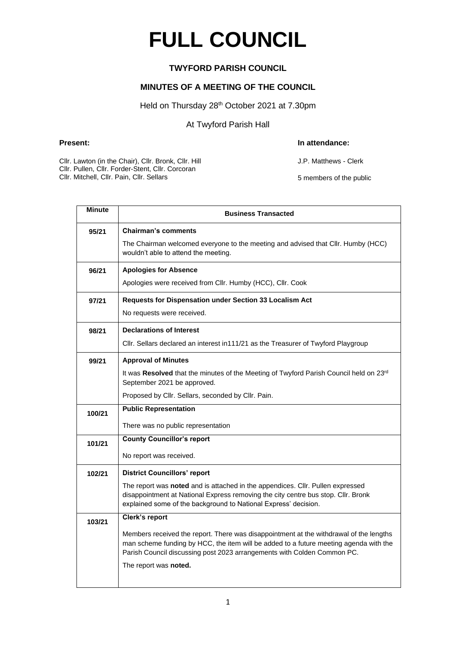# **FULL COUNCIL**

### **TWYFORD PARISH COUNCIL**

#### **MINUTES OF A MEETING OF THE COUNCIL**

#### Held on Thursday 28<sup>th</sup> October 2021 at 7.30pm

At Twyford Parish Hall

#### **Present: In attendance:**

J.P. Matthews - Clerk

5 members of the public

Cllr. Lawton (in the Chair), Cllr. Bronk, Cllr. Hill

Cllr. Pullen, Cllr. Forder-Stent, Cllr. Corcoran

Cllr. Mitchell, Cllr. Pain, Cllr. Sellars

| <b>Minute</b> | <b>Business Transacted</b>                                                                                                                                                                                                                                 |  |  |  |
|---------------|------------------------------------------------------------------------------------------------------------------------------------------------------------------------------------------------------------------------------------------------------------|--|--|--|
| 95/21         | <b>Chairman's comments</b>                                                                                                                                                                                                                                 |  |  |  |
|               | The Chairman welcomed everyone to the meeting and advised that Cllr. Humby (HCC)<br>wouldn't able to attend the meeting.                                                                                                                                   |  |  |  |
| 96/21         | <b>Apologies for Absence</b>                                                                                                                                                                                                                               |  |  |  |
|               | Apologies were received from Cllr. Humby (HCC), Cllr. Cook                                                                                                                                                                                                 |  |  |  |
| 97/21         | Requests for Dispensation under Section 33 Localism Act                                                                                                                                                                                                    |  |  |  |
|               | No requests were received.                                                                                                                                                                                                                                 |  |  |  |
| 98/21         | <b>Declarations of Interest</b>                                                                                                                                                                                                                            |  |  |  |
|               | Cllr. Sellars declared an interest in111/21 as the Treasurer of Twyford Playgroup                                                                                                                                                                          |  |  |  |
| 99/21         | <b>Approval of Minutes</b>                                                                                                                                                                                                                                 |  |  |  |
|               | It was Resolved that the minutes of the Meeting of Twyford Parish Council held on 23rd<br>September 2021 be approved.                                                                                                                                      |  |  |  |
|               | Proposed by Cllr. Sellars, seconded by Cllr. Pain.                                                                                                                                                                                                         |  |  |  |
| 100/21        | <b>Public Representation</b>                                                                                                                                                                                                                               |  |  |  |
|               | There was no public representation                                                                                                                                                                                                                         |  |  |  |
| 101/21        | <b>County Councillor's report</b>                                                                                                                                                                                                                          |  |  |  |
|               | No report was received.                                                                                                                                                                                                                                    |  |  |  |
| 102/21        | <b>District Councillors' report</b>                                                                                                                                                                                                                        |  |  |  |
|               | The report was noted and is attached in the appendices. Cllr. Pullen expressed<br>disappointment at National Express removing the city centre bus stop. Cllr. Bronk<br>explained some of the background to National Express' decision.                     |  |  |  |
| 103/21        | Clerk's report                                                                                                                                                                                                                                             |  |  |  |
|               | Members received the report. There was disappointment at the withdrawal of the lengths<br>man scheme funding by HCC, the item will be added to a future meeting agenda with the<br>Parish Council discussing post 2023 arrangements with Colden Common PC. |  |  |  |
|               | The report was noted.                                                                                                                                                                                                                                      |  |  |  |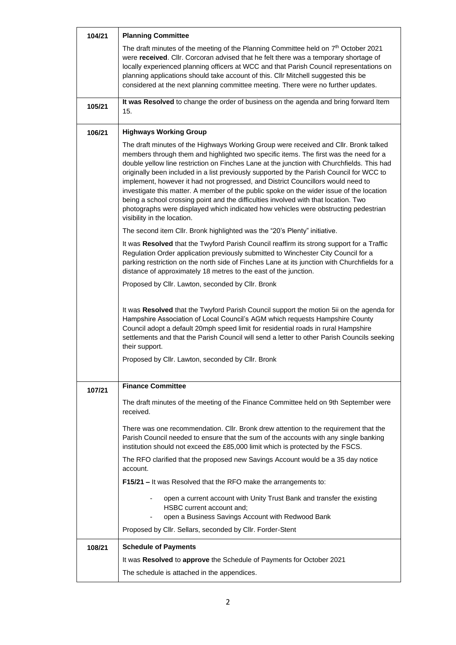| 104/21 | <b>Planning Committee</b>                                                                                                                                                                                                                                                                                                                                                                                                                                                                                                                                                                                                                                                                                                                                            |
|--------|----------------------------------------------------------------------------------------------------------------------------------------------------------------------------------------------------------------------------------------------------------------------------------------------------------------------------------------------------------------------------------------------------------------------------------------------------------------------------------------------------------------------------------------------------------------------------------------------------------------------------------------------------------------------------------------------------------------------------------------------------------------------|
|        | The draft minutes of the meeting of the Planning Committee held on 7 <sup>th</sup> October 2021<br>were received. Cllr. Corcoran advised that he felt there was a temporary shortage of<br>locally experienced planning officers at WCC and that Parish Council representations on<br>planning applications should take account of this. Cllr Mitchell suggested this be<br>considered at the next planning committee meeting. There were no further updates.                                                                                                                                                                                                                                                                                                        |
|        | It was Resolved to change the order of business on the agenda and bring forward Item                                                                                                                                                                                                                                                                                                                                                                                                                                                                                                                                                                                                                                                                                 |
| 105/21 | 15.                                                                                                                                                                                                                                                                                                                                                                                                                                                                                                                                                                                                                                                                                                                                                                  |
| 106/21 | <b>Highways Working Group</b>                                                                                                                                                                                                                                                                                                                                                                                                                                                                                                                                                                                                                                                                                                                                        |
|        | The draft minutes of the Highways Working Group were received and Cllr. Bronk talked<br>members through them and highlighted two specific items. The first was the need for a<br>double yellow line restriction on Finches Lane at the junction with Churchfields. This had<br>originally been included in a list previously supported by the Parish Council for WCC to<br>implement, however it had not progressed, and District Councillors would need to<br>investigate this matter. A member of the public spoke on the wider issue of the location<br>being a school crossing point and the difficulties involved with that location. Two<br>photographs were displayed which indicated how vehicles were obstructing pedestrian<br>visibility in the location. |
|        | The second item Cllr. Bronk highlighted was the "20's Plenty" initiative.                                                                                                                                                                                                                                                                                                                                                                                                                                                                                                                                                                                                                                                                                            |
|        | It was Resolved that the Twyford Parish Council reaffirm its strong support for a Traffic<br>Regulation Order application previously submitted to Winchester City Council for a<br>parking restriction on the north side of Finches Lane at its junction with Churchfields for a<br>distance of approximately 18 metres to the east of the junction.                                                                                                                                                                                                                                                                                                                                                                                                                 |
|        | Proposed by Cllr. Lawton, seconded by Cllr. Bronk                                                                                                                                                                                                                                                                                                                                                                                                                                                                                                                                                                                                                                                                                                                    |
|        | It was Resolved that the Twyford Parish Council support the motion 5ii on the agenda for<br>Hampshire Association of Local Council's AGM which requests Hampshire County<br>Council adopt a default 20mph speed limit for residential roads in rural Hampshire<br>settlements and that the Parish Council will send a letter to other Parish Councils seeking<br>their support.<br>Proposed by Cllr. Lawton, seconded by Cllr. Bronk                                                                                                                                                                                                                                                                                                                                 |
| 107/21 | <b>Finance Committee</b>                                                                                                                                                                                                                                                                                                                                                                                                                                                                                                                                                                                                                                                                                                                                             |
|        | The draft minutes of the meeting of the Finance Committee held on 9th September were<br>received.                                                                                                                                                                                                                                                                                                                                                                                                                                                                                                                                                                                                                                                                    |
|        | There was one recommendation. Cllr. Bronk drew attention to the requirement that the<br>Parish Council needed to ensure that the sum of the accounts with any single banking<br>institution should not exceed the £85,000 limit which is protected by the FSCS.                                                                                                                                                                                                                                                                                                                                                                                                                                                                                                      |
|        | The RFO clarified that the proposed new Savings Account would be a 35 day notice<br>account.                                                                                                                                                                                                                                                                                                                                                                                                                                                                                                                                                                                                                                                                         |
|        | F15/21 - It was Resolved that the RFO make the arrangements to:                                                                                                                                                                                                                                                                                                                                                                                                                                                                                                                                                                                                                                                                                                      |
|        | open a current account with Unity Trust Bank and transfer the existing<br>HSBC current account and:<br>open a Business Savings Account with Redwood Bank                                                                                                                                                                                                                                                                                                                                                                                                                                                                                                                                                                                                             |
|        | Proposed by Cllr. Sellars, seconded by Cllr. Forder-Stent                                                                                                                                                                                                                                                                                                                                                                                                                                                                                                                                                                                                                                                                                                            |
| 108/21 | <b>Schedule of Payments</b>                                                                                                                                                                                                                                                                                                                                                                                                                                                                                                                                                                                                                                                                                                                                          |
|        | It was Resolved to approve the Schedule of Payments for October 2021                                                                                                                                                                                                                                                                                                                                                                                                                                                                                                                                                                                                                                                                                                 |
|        | The schedule is attached in the appendices.                                                                                                                                                                                                                                                                                                                                                                                                                                                                                                                                                                                                                                                                                                                          |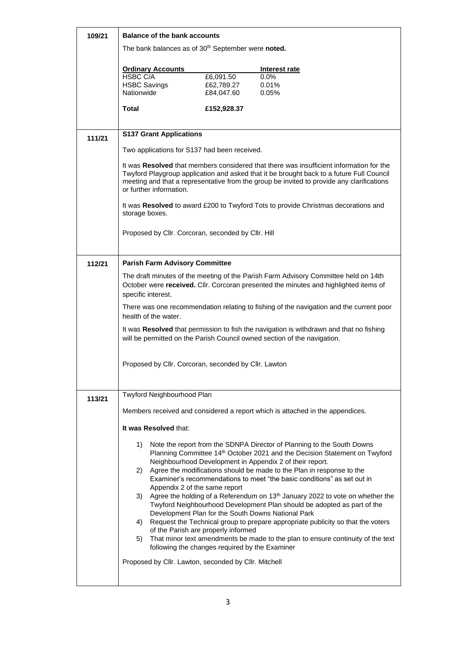| 109/21 | <b>Balance of the bank accounts</b>                                                                             |                          |                                                                                                                                                                                                                                                                                           |  |  |
|--------|-----------------------------------------------------------------------------------------------------------------|--------------------------|-------------------------------------------------------------------------------------------------------------------------------------------------------------------------------------------------------------------------------------------------------------------------------------------|--|--|
|        | The bank balances as of 30 <sup>th</sup> September were noted.                                                  |                          |                                                                                                                                                                                                                                                                                           |  |  |
|        | <b>Ordinary Accounts</b>                                                                                        |                          | Interest rate                                                                                                                                                                                                                                                                             |  |  |
|        | <b>HSBC C/A</b>                                                                                                 | £6,091.50                | 0.0%                                                                                                                                                                                                                                                                                      |  |  |
|        | <b>HSBC Savings</b><br>Nationwide                                                                               | £62,789.27<br>£84,047.60 | 0.01%<br>0.05%                                                                                                                                                                                                                                                                            |  |  |
|        |                                                                                                                 |                          |                                                                                                                                                                                                                                                                                           |  |  |
|        | <b>Total</b>                                                                                                    | £152,928.37              |                                                                                                                                                                                                                                                                                           |  |  |
| 111/21 | <b>S137 Grant Applications</b>                                                                                  |                          |                                                                                                                                                                                                                                                                                           |  |  |
|        | Two applications for S137 had been received.                                                                    |                          |                                                                                                                                                                                                                                                                                           |  |  |
|        | or further information.                                                                                         |                          | It was Resolved that members considered that there was insufficient information for the<br>Twyford Playgroup application and asked that it be brought back to a future Full Council<br>meeting and that a representative from the group be invited to provide any clarifications          |  |  |
|        | storage boxes.                                                                                                  |                          | It was Resolved to award £200 to Twyford Tots to provide Christmas decorations and                                                                                                                                                                                                        |  |  |
|        | Proposed by Cllr. Corcoran, seconded by Cllr. Hill                                                              |                          |                                                                                                                                                                                                                                                                                           |  |  |
| 112/21 | <b>Parish Farm Advisory Committee</b>                                                                           |                          |                                                                                                                                                                                                                                                                                           |  |  |
|        | specific interest.                                                                                              |                          | The draft minutes of the meeting of the Parish Farm Advisory Committee held on 14th<br>October were received. Cllr. Corcoran presented the minutes and highlighted items of                                                                                                               |  |  |
|        | There was one recommendation relating to fishing of the navigation and the current poor<br>health of the water. |                          |                                                                                                                                                                                                                                                                                           |  |  |
|        |                                                                                                                 |                          | It was Resolved that permission to fish the navigation is withdrawn and that no fishing<br>will be permitted on the Parish Council owned section of the navigation.                                                                                                                       |  |  |
|        | Proposed by Cllr. Corcoran, seconded by Cllr. Lawton                                                            |                          |                                                                                                                                                                                                                                                                                           |  |  |
|        | Twyford Neighbourhood Plan                                                                                      |                          |                                                                                                                                                                                                                                                                                           |  |  |
| 113/21 |                                                                                                                 |                          |                                                                                                                                                                                                                                                                                           |  |  |
|        |                                                                                                                 |                          | Members received and considered a report which is attached in the appendices.                                                                                                                                                                                                             |  |  |
|        | It was Resolved that:                                                                                           |                          |                                                                                                                                                                                                                                                                                           |  |  |
|        | 1).<br>2)                                                                                                       |                          | Note the report from the SDNPA Director of Planning to the South Downs<br>Planning Committee 14th October 2021 and the Decision Statement on Twyford<br>Neighbourhood Development in Appendix 2 of their report.<br>Agree the modifications should be made to the Plan in response to the |  |  |
|        | Appendix 2 of the same report                                                                                   |                          | Examiner's recommendations to meet "the basic conditions" as set out in                                                                                                                                                                                                                   |  |  |
|        |                                                                                                                 |                          | 3) Agree the holding of a Referendum on 13 <sup>th</sup> January 2022 to vote on whether the<br>Twyford Neighbourhood Development Plan should be adopted as part of the<br>Development Plan for the South Downs National Park                                                             |  |  |
|        | 4)                                                                                                              |                          | Request the Technical group to prepare appropriate publicity so that the voters                                                                                                                                                                                                           |  |  |
|        | of the Parish are properly informed<br>5)<br>following the changes required by the Examiner                     |                          | That minor text amendments be made to the plan to ensure continuity of the text                                                                                                                                                                                                           |  |  |
|        | Proposed by Cllr. Lawton, seconded by Cllr. Mitchell                                                            |                          |                                                                                                                                                                                                                                                                                           |  |  |
|        |                                                                                                                 |                          |                                                                                                                                                                                                                                                                                           |  |  |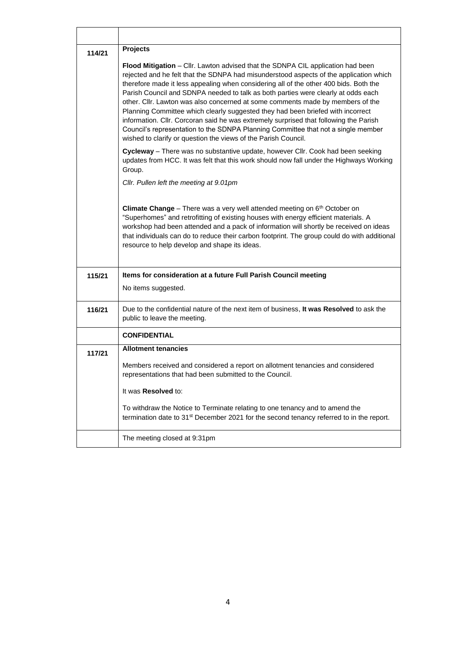| 114/21 | <b>Projects</b>                                                                                                                                                                                                                                                                                                                                                                                                                                                                                                                                                                                                                                                                                                                                                              |
|--------|------------------------------------------------------------------------------------------------------------------------------------------------------------------------------------------------------------------------------------------------------------------------------------------------------------------------------------------------------------------------------------------------------------------------------------------------------------------------------------------------------------------------------------------------------------------------------------------------------------------------------------------------------------------------------------------------------------------------------------------------------------------------------|
|        | Flood Mitigation - Cllr. Lawton advised that the SDNPA CIL application had been<br>rejected and he felt that the SDNPA had misunderstood aspects of the application which<br>therefore made it less appealing when considering all of the other 400 bids. Both the<br>Parish Council and SDNPA needed to talk as both parties were clearly at odds each<br>other. Cllr. Lawton was also concerned at some comments made by members of the<br>Planning Committee which clearly suggested they had been briefed with incorrect<br>information. Cllr. Corcoran said he was extremely surprised that following the Parish<br>Council's representation to the SDNPA Planning Committee that not a single member<br>wished to clarify or question the views of the Parish Council. |
|        | Cycleway - There was no substantive update, however Cllr. Cook had been seeking<br>updates from HCC. It was felt that this work should now fall under the Highways Working<br>Group.                                                                                                                                                                                                                                                                                                                                                                                                                                                                                                                                                                                         |
|        | Cllr. Pullen left the meeting at 9.01pm                                                                                                                                                                                                                                                                                                                                                                                                                                                                                                                                                                                                                                                                                                                                      |
|        | <b>Climate Change</b> – There was a very well attended meeting on $6th$ October on<br>"Superhomes" and retrofitting of existing houses with energy efficient materials. A<br>workshop had been attended and a pack of information will shortly be received on ideas<br>that individuals can do to reduce their carbon footprint. The group could do with additional<br>resource to help develop and shape its ideas.                                                                                                                                                                                                                                                                                                                                                         |
| 115/21 | Items for consideration at a future Full Parish Council meeting                                                                                                                                                                                                                                                                                                                                                                                                                                                                                                                                                                                                                                                                                                              |
|        | No items suggested.                                                                                                                                                                                                                                                                                                                                                                                                                                                                                                                                                                                                                                                                                                                                                          |
| 116/21 | Due to the confidential nature of the next item of business, It was Resolved to ask the<br>public to leave the meeting.                                                                                                                                                                                                                                                                                                                                                                                                                                                                                                                                                                                                                                                      |
|        | <b>CONFIDENTIAL</b>                                                                                                                                                                                                                                                                                                                                                                                                                                                                                                                                                                                                                                                                                                                                                          |
| 117/21 | <b>Allotment tenancies</b>                                                                                                                                                                                                                                                                                                                                                                                                                                                                                                                                                                                                                                                                                                                                                   |
|        | Members received and considered a report on allotment tenancies and considered<br>representations that had been submitted to the Council.                                                                                                                                                                                                                                                                                                                                                                                                                                                                                                                                                                                                                                    |
|        | It was Resolved to:                                                                                                                                                                                                                                                                                                                                                                                                                                                                                                                                                                                                                                                                                                                                                          |
|        | To withdraw the Notice to Terminate relating to one tenancy and to amend the<br>termination date to 31 <sup>st</sup> December 2021 for the second tenancy referred to in the report.                                                                                                                                                                                                                                                                                                                                                                                                                                                                                                                                                                                         |
|        | The meeting closed at 9:31pm                                                                                                                                                                                                                                                                                                                                                                                                                                                                                                                                                                                                                                                                                                                                                 |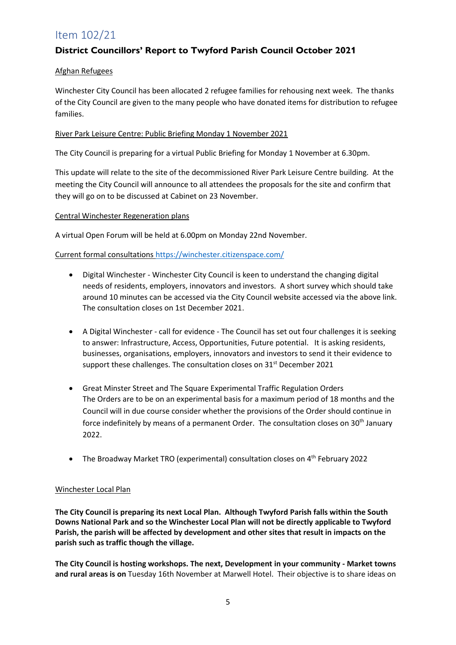## Item 102/21

### **District Councillors' Report to Twyford Parish Council October 2021**

#### Afghan Refugees

Winchester City Council has been allocated 2 refugee families for rehousing next week. The thanks of the City Council are given to the many people who have donated items for distribution to refugee families.

#### River Park Leisure Centre: Public Briefing Monday 1 November 2021

The City Council is preparing for a virtual Public Briefing for Monday 1 November at 6.30pm.

This update will relate to the site of the decommissioned River Park Leisure Centre building. At the meeting the City Council will announce to all attendees the proposals for the site and confirm that they will go on to be discussed at Cabinet on 23 November.

#### Central Winchester Regeneration plans

A virtual Open Forum will be held at 6.00pm on Monday 22nd November.

#### Current formal consultations<https://winchester.citizenspace.com/>

- Digital Winchester Winchester City Council is keen to understand the changing digital needs of residents, employers, innovators and investors. A short survey which should take around 10 minutes can be accessed via the City Council website accessed via the above link. The consultation closes on 1st December 2021.
- A Digital Winchester call for evidence The Council has set out four challenges it is seeking to answer: Infrastructure, Access, Opportunities, Future potential. It is asking residents, businesses, organisations, employers, innovators and investors to send it their evidence to support these challenges. The consultation closes on 31<sup>st</sup> December 2021
- Great Minster Street and The Square Experimental Traffic Regulation Orders The Orders are to be on an experimental basis for a maximum period of 18 months and the Council will in due course consider whether the provisions of the Order should continue in force indefinitely by means of a permanent Order. The consultation closes on 30<sup>th</sup> January 2022.
- The Broadway Market TRO (experimental) consultation closes on 4<sup>th</sup> February 2022

#### Winchester Local Plan

**The City Council is preparing its next Local Plan. Although Twyford Parish falls within the South Downs National Park and so the Winchester Local Plan will not be directly applicable to Twyford Parish, the parish will be affected by development and other sites that result in impacts on the parish such as traffic though the village.** 

**The City Council is hosting workshops. The next, Development in your community - Market towns and rural areas is on** Tuesday 16th November at Marwell Hotel. Their objective is to share ideas on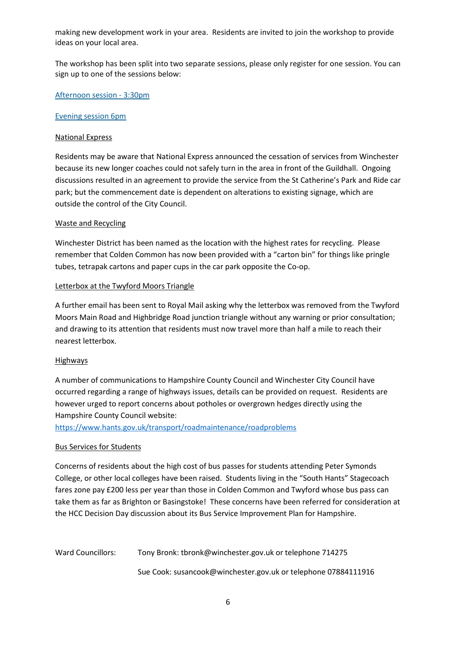making new development work in your area. Residents are invited to join the workshop to provide ideas on your local area.

The workshop has been split into two separate sessions, please only register for one session. You can sign up to one of the sessions below:

[Afternoon session -](https://www.eventbrite.co.uk/e/196515141077) 3:30pm

#### [Evening session 6pm](https://www.eventbrite.co.uk/e/196517738847)

#### National Express

Residents may be aware that National Express announced the cessation of services from Winchester because its new longer coaches could not safely turn in the area in front of the Guildhall. Ongoing discussions resulted in an agreement to provide the service from the St Catherine's Park and Ride car park; but the commencement date is dependent on alterations to existing signage, which are outside the control of the City Council.

#### Waste and Recycling

Winchester District has been named as the location with the highest rates for recycling. Please remember that Colden Common has now been provided with a "carton bin" for things like pringle tubes, tetrapak cartons and paper cups in the car park opposite the Co-op.

#### Letterbox at the Twyford Moors Triangle

A further email has been sent to Royal Mail asking why the letterbox was removed from the Twyford Moors Main Road and Highbridge Road junction triangle without any warning or prior consultation; and drawing to its attention that residents must now travel more than half a mile to reach their nearest letterbox.

#### **Highways**

A number of communications to Hampshire County Council and Winchester City Council have occurred regarding a range of highways issues, details can be provided on request. Residents are however urged to report concerns about potholes or overgrown hedges directly using the Hampshire County Council website:

<https://www.hants.gov.uk/transport/roadmaintenance/roadproblems>

#### Bus Services for Students

Concerns of residents about the high cost of bus passes for students attending Peter Symonds College, or other local colleges have been raised. Students living in the "South Hants" Stagecoach fares zone pay £200 less per year than those in Colden Common and Twyford whose bus pass can take them as far as Brighton or Basingstoke! These concerns have been referred for consideration at the HCC Decision Day discussion about its Bus Service Improvement Plan for Hampshire.

Ward Councillors: Tony Bronk: tbronk@winchester.gov.uk or telephone 714275 Sue Cook: susancook@winchester.gov.uk or telephone 07884111916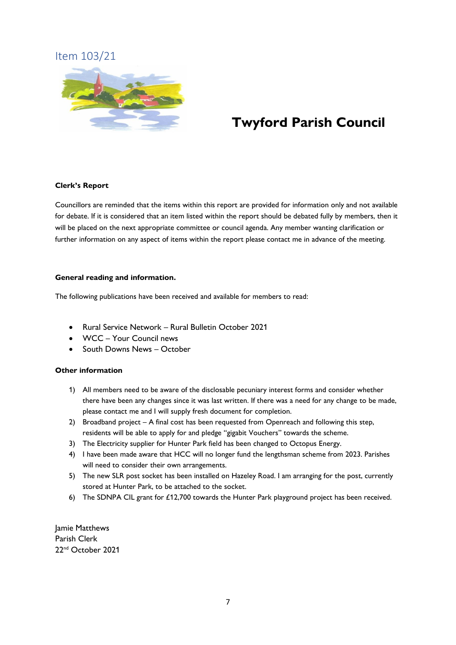## Item 103/21



## **Twyford Parish Council**

#### **Clerk's Report**

Councillors are reminded that the items within this report are provided for information only and not available for debate. If it is considered that an item listed within the report should be debated fully by members, then it will be placed on the next appropriate committee or council agenda. Any member wanting clarification or further information on any aspect of items within the report please contact me in advance of the meeting.

#### **General reading and information.**

The following publications have been received and available for members to read:

- Rural Service Network Rural Bulletin October 2021
- WCC Your Council news
- South Downs News October

#### **Other information**

- 1) All members need to be aware of the disclosable pecuniary interest forms and consider whether there have been any changes since it was last written. If there was a need for any change to be made, please contact me and I will supply fresh document for completion.
- 2) Broadband project A final cost has been requested from Openreach and following this step, residents will be able to apply for and pledge "gigabit Vouchers" towards the scheme.
- 3) The Electricity supplier for Hunter Park field has been changed to Octopus Energy.
- 4) I have been made aware that HCC will no longer fund the lengthsman scheme from 2023. Parishes will need to consider their own arrangements.
- 5) The new SLR post socket has been installed on Hazeley Road. I am arranging for the post, currently stored at Hunter Park, to be attached to the socket.
- 6) The SDNPA CIL grant for £12,700 towards the Hunter Park playground project has been received.

Jamie Matthews Parish Clerk 22nd October 2021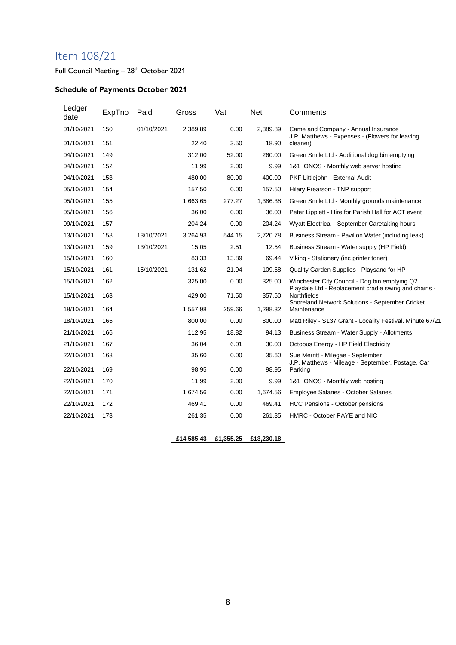## Item 108/21

Full Council Meeting - 28<sup>th</sup> October 2021

#### **Schedule of Payments October 2021**

| Ledger<br>date | ExpTno | Paid       | Gross    | Vat    | <b>Net</b> | Comments                                                                                                               |
|----------------|--------|------------|----------|--------|------------|------------------------------------------------------------------------------------------------------------------------|
| 01/10/2021     | 150    | 01/10/2021 | 2,389.89 | 0.00   | 2,389.89   | Came and Company - Annual Insurance<br>J.P. Matthews - Expenses - (Flowers for leaving                                 |
| 01/10/2021     | 151    |            | 22.40    | 3.50   | 18.90      | cleaner)                                                                                                               |
| 04/10/2021     | 149    |            | 312.00   | 52.00  | 260.00     | Green Smile Ltd - Additional dog bin emptying                                                                          |
| 04/10/2021     | 152    |            | 11.99    | 2.00   | 9.99       | 1&1 IONOS - Monthly web server hosting                                                                                 |
| 04/10/2021     | 153    |            | 480.00   | 80.00  | 400.00     | PKF Littlejohn - External Audit                                                                                        |
| 05/10/2021     | 154    |            | 157.50   | 0.00   | 157.50     | Hilary Frearson - TNP support                                                                                          |
| 05/10/2021     | 155    |            | 1,663.65 | 277.27 | 1,386.38   | Green Smile Ltd - Monthly grounds maintenance                                                                          |
| 05/10/2021     | 156    |            | 36.00    | 0.00   | 36.00      | Peter Lippiett - Hire for Parish Hall for ACT event                                                                    |
| 09/10/2021     | 157    |            | 204.24   | 0.00   | 204.24     | Wyatt Electrical - September Caretaking hours                                                                          |
| 13/10/2021     | 158    | 13/10/2021 | 3,264.93 | 544.15 | 2,720.78   | Business Stream - Pavilion Water (including leak)                                                                      |
| 13/10/2021     | 159    | 13/10/2021 | 15.05    | 2.51   | 12.54      | Business Stream - Water supply (HP Field)                                                                              |
| 15/10/2021     | 160    |            | 83.33    | 13.89  | 69.44      | Viking - Stationery (inc printer toner)                                                                                |
| 15/10/2021     | 161    | 15/10/2021 | 131.62   | 21.94  | 109.68     | Quality Garden Supplies - Playsand for HP                                                                              |
| 15/10/2021     | 162    |            | 325.00   | 0.00   | 325.00     | Winchester City Council - Dog bin emptying Q2                                                                          |
| 15/10/2021     | 163    |            | 429.00   | 71.50  | 357.50     | Playdale Ltd - Replacement cradle swing and chains -<br>Northfields<br>Shoreland Network Solutions - September Cricket |
| 18/10/2021     | 164    |            | 1,557.98 | 259.66 | 1,298.32   | Maintenance                                                                                                            |
| 18/10/2021     | 165    |            | 800.00   | 0.00   | 800.00     | Matt Riley - S137 Grant - Locality Festival. Minute 67/21                                                              |
| 21/10/2021     | 166    |            | 112.95   | 18.82  | 94.13      | Business Stream - Water Supply - Allotments                                                                            |
| 21/10/2021     | 167    |            | 36.04    | 6.01   | 30.03      | Octopus Energy - HP Field Electricity                                                                                  |
| 22/10/2021     | 168    |            | 35.60    | 0.00   | 35.60      | Sue Merritt - Milegae - September<br>J.P. Matthews - Mileage - September. Postage. Car                                 |
| 22/10/2021     | 169    |            | 98.95    | 0.00   | 98.95      | Parking                                                                                                                |
| 22/10/2021     | 170    |            | 11.99    | 2.00   | 9.99       | 1&1 IONOS - Monthly web hosting                                                                                        |
| 22/10/2021     | 171    |            | 1,674.56 | 0.00   | 1,674.56   | Employee Salaries - October Salaries                                                                                   |
| 22/10/2021     | 172    |            | 469.41   | 0.00   | 469.41     | HCC Pensions - October pensions                                                                                        |
| 22/10/2021     | 173    |            | 261.35   | 0.00   | 261.35     | HMRC - October PAYE and NIC                                                                                            |

**£14,585.43 £1,355.25 £13,230.18**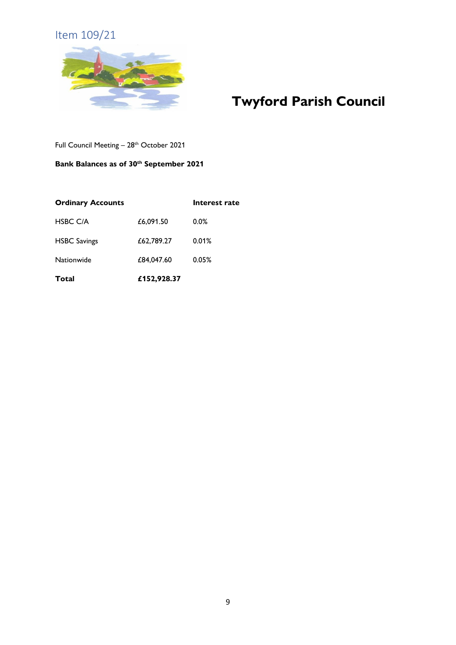## Item 109/21



## **Twyford Parish Council**

Full Council Meeting - 28<sup>th</sup> October 2021

#### **Bank Balances as of 30th September 2021**

| <b>Ordinary Accounts</b> |             | Interest rate |
|--------------------------|-------------|---------------|
| <b>HSBC C/A</b>          | £6,091.50   | $0.0\%$       |
| <b>HSBC Savings</b>      | £62,789.27  | 0.01%         |
| Nationwide               | £84,047.60  | 0.05%         |
| Total                    | £152,928.37 |               |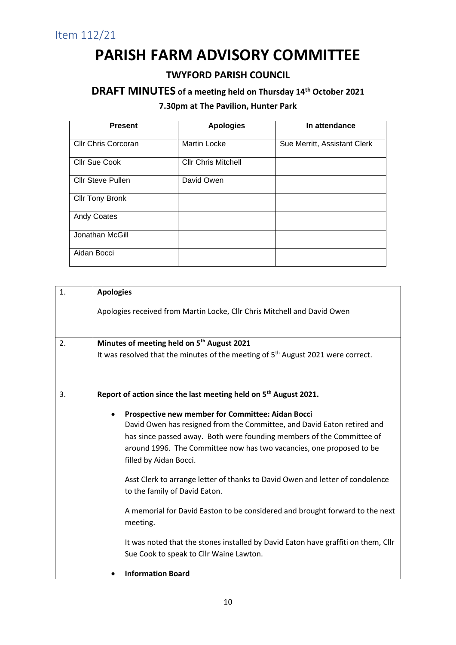## **PARISH FARM ADVISORY COMMITTEE**

## **TWYFORD PARISH COUNCIL**

## **DRAFT MINUTES of a meeting held on Thursday 14th October 2021**

## **7.30pm at The Pavilion, Hunter Park**

| <b>Present</b>           | <b>Apologies</b>           | In attendance                |
|--------------------------|----------------------------|------------------------------|
|                          |                            |                              |
| Cllr Chris Corcoran      | <b>Martin Locke</b>        | Sue Merritt, Assistant Clerk |
| <b>Cllr Sue Cook</b>     | <b>Cllr Chris Mitchell</b> |                              |
| <b>Cllr Steve Pullen</b> | David Owen                 |                              |
| <b>Cllr Tony Bronk</b>   |                            |                              |
| <b>Andy Coates</b>       |                            |                              |
| Jonathan McGill          |                            |                              |
| Aidan Bocci              |                            |                              |

| 1. | <b>Apologies</b>                                                                                                                                                                                                                                                                                                     |
|----|----------------------------------------------------------------------------------------------------------------------------------------------------------------------------------------------------------------------------------------------------------------------------------------------------------------------|
|    | Apologies received from Martin Locke, Cllr Chris Mitchell and David Owen                                                                                                                                                                                                                                             |
| 2. | Minutes of meeting held on 5 <sup>th</sup> August 2021                                                                                                                                                                                                                                                               |
|    | It was resolved that the minutes of the meeting of 5 <sup>th</sup> August 2021 were correct.                                                                                                                                                                                                                         |
| 3. | Report of action since the last meeting held on 5 <sup>th</sup> August 2021.                                                                                                                                                                                                                                         |
|    | Prospective new member for Committee: Aidan Bocci<br>$\bullet$<br>David Owen has resigned from the Committee, and David Eaton retired and<br>has since passed away. Both were founding members of the Committee of<br>around 1996. The Committee now has two vacancies, one proposed to be<br>filled by Aidan Bocci. |
|    | Asst Clerk to arrange letter of thanks to David Owen and letter of condolence<br>to the family of David Eaton.                                                                                                                                                                                                       |
|    | A memorial for David Easton to be considered and brought forward to the next<br>meeting.                                                                                                                                                                                                                             |
|    | It was noted that the stones installed by David Eaton have graffiti on them, Cllr<br>Sue Cook to speak to Cllr Waine Lawton.                                                                                                                                                                                         |
|    | <b>Information Board</b>                                                                                                                                                                                                                                                                                             |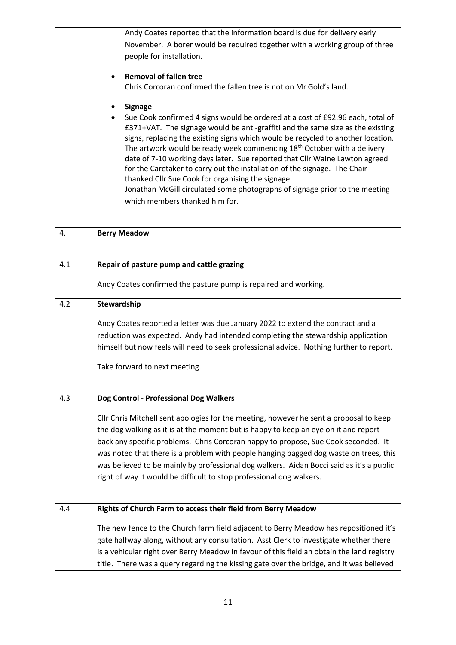|     | Andy Coates reported that the information board is due for delivery early                                                                                                              |
|-----|----------------------------------------------------------------------------------------------------------------------------------------------------------------------------------------|
|     | November. A borer would be required together with a working group of three                                                                                                             |
|     | people for installation.                                                                                                                                                               |
|     |                                                                                                                                                                                        |
|     | <b>Removal of fallen tree</b>                                                                                                                                                          |
|     | Chris Corcoran confirmed the fallen tree is not on Mr Gold's land.                                                                                                                     |
|     | <b>Signage</b>                                                                                                                                                                         |
|     | Sue Cook confirmed 4 signs would be ordered at a cost of £92.96 each, total of                                                                                                         |
|     | £371+VAT. The signage would be anti-graffiti and the same size as the existing                                                                                                         |
|     | signs, replacing the existing signs which would be recycled to another location.                                                                                                       |
|     | The artwork would be ready week commencing 18 <sup>th</sup> October with a delivery<br>date of 7-10 working days later. Sue reported that Cllr Waine Lawton agreed                     |
|     | for the Caretaker to carry out the installation of the signage. The Chair                                                                                                              |
|     | thanked Cllr Sue Cook for organising the signage.                                                                                                                                      |
|     | Jonathan McGill circulated some photographs of signage prior to the meeting                                                                                                            |
|     | which members thanked him for.                                                                                                                                                         |
|     |                                                                                                                                                                                        |
| 4.  | <b>Berry Meadow</b>                                                                                                                                                                    |
|     |                                                                                                                                                                                        |
|     |                                                                                                                                                                                        |
| 4.1 | Repair of pasture pump and cattle grazing                                                                                                                                              |
|     | Andy Coates confirmed the pasture pump is repaired and working.                                                                                                                        |
|     |                                                                                                                                                                                        |
|     |                                                                                                                                                                                        |
| 4.2 | Stewardship                                                                                                                                                                            |
|     |                                                                                                                                                                                        |
|     | Andy Coates reported a letter was due January 2022 to extend the contract and a                                                                                                        |
|     | reduction was expected. Andy had intended completing the stewardship application                                                                                                       |
|     | himself but now feels will need to seek professional advice. Nothing further to report.                                                                                                |
|     | Take forward to next meeting.                                                                                                                                                          |
|     |                                                                                                                                                                                        |
|     |                                                                                                                                                                                        |
| 4.3 | Dog Control - Professional Dog Walkers                                                                                                                                                 |
|     | Cllr Chris Mitchell sent apologies for the meeting, however he sent a proposal to keep                                                                                                 |
|     | the dog walking as it is at the moment but is happy to keep an eye on it and report                                                                                                    |
|     | back any specific problems. Chris Corcoran happy to propose, Sue Cook seconded. It                                                                                                     |
|     | was noted that there is a problem with people hanging bagged dog waste on trees, this                                                                                                  |
|     | was believed to be mainly by professional dog walkers. Aidan Bocci said as it's a public                                                                                               |
|     | right of way it would be difficult to stop professional dog walkers.                                                                                                                   |
|     |                                                                                                                                                                                        |
| 4.4 |                                                                                                                                                                                        |
|     | Rights of Church Farm to access their field from Berry Meadow                                                                                                                          |
|     | The new fence to the Church farm field adjacent to Berry Meadow has repositioned it's                                                                                                  |
|     | gate halfway along, without any consultation. Asst Clerk to investigate whether there                                                                                                  |
|     | is a vehicular right over Berry Meadow in favour of this field an obtain the land registry<br>title. There was a query regarding the kissing gate over the bridge, and it was believed |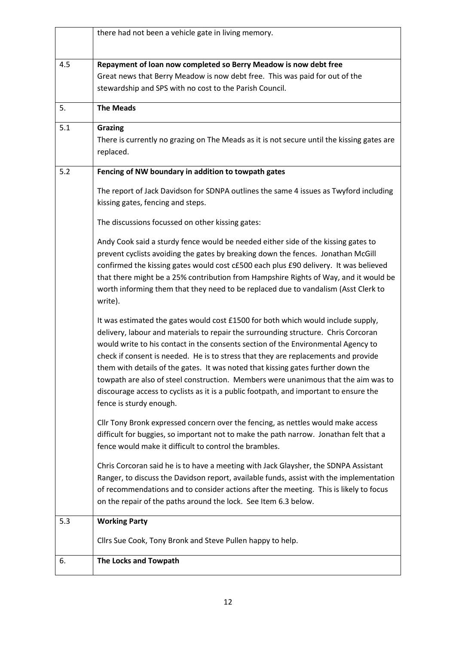|     | there had not been a vehicle gate in living memory.                                                                                                                                                                                                                                                                                                                                                                                                                                                                                                                                                                                             |
|-----|-------------------------------------------------------------------------------------------------------------------------------------------------------------------------------------------------------------------------------------------------------------------------------------------------------------------------------------------------------------------------------------------------------------------------------------------------------------------------------------------------------------------------------------------------------------------------------------------------------------------------------------------------|
| 4.5 | Repayment of loan now completed so Berry Meadow is now debt free<br>Great news that Berry Meadow is now debt free. This was paid for out of the<br>stewardship and SPS with no cost to the Parish Council.                                                                                                                                                                                                                                                                                                                                                                                                                                      |
| 5.  | <b>The Meads</b>                                                                                                                                                                                                                                                                                                                                                                                                                                                                                                                                                                                                                                |
| 5.1 | <b>Grazing</b><br>There is currently no grazing on The Meads as it is not secure until the kissing gates are<br>replaced.                                                                                                                                                                                                                                                                                                                                                                                                                                                                                                                       |
| 5.2 | Fencing of NW boundary in addition to towpath gates                                                                                                                                                                                                                                                                                                                                                                                                                                                                                                                                                                                             |
|     | The report of Jack Davidson for SDNPA outlines the same 4 issues as Twyford including<br>kissing gates, fencing and steps.                                                                                                                                                                                                                                                                                                                                                                                                                                                                                                                      |
|     | The discussions focussed on other kissing gates:                                                                                                                                                                                                                                                                                                                                                                                                                                                                                                                                                                                                |
|     | Andy Cook said a sturdy fence would be needed either side of the kissing gates to<br>prevent cyclists avoiding the gates by breaking down the fences. Jonathan McGill<br>confirmed the kissing gates would cost c£500 each plus £90 delivery. It was believed<br>that there might be a 25% contribution from Hampshire Rights of Way, and it would be<br>worth informing them that they need to be replaced due to vandalism (Asst Clerk to<br>write).                                                                                                                                                                                          |
|     | It was estimated the gates would cost £1500 for both which would include supply,<br>delivery, labour and materials to repair the surrounding structure. Chris Corcoran<br>would write to his contact in the consents section of the Environmental Agency to<br>check if consent is needed. He is to stress that they are replacements and provide<br>them with details of the gates. It was noted that kissing gates further down the<br>towpath are also of steel construction. Members were unanimous that the aim was to<br>discourage access to cyclists as it is a public footpath, and important to ensure the<br>fence is sturdy enough. |
|     | Cllr Tony Bronk expressed concern over the fencing, as nettles would make access<br>difficult for buggies, so important not to make the path narrow. Jonathan felt that a<br>fence would make it difficult to control the brambles.                                                                                                                                                                                                                                                                                                                                                                                                             |
|     | Chris Corcoran said he is to have a meeting with Jack Glaysher, the SDNPA Assistant<br>Ranger, to discuss the Davidson report, available funds, assist with the implementation<br>of recommendations and to consider actions after the meeting. This is likely to focus<br>on the repair of the paths around the lock. See Item 6.3 below.                                                                                                                                                                                                                                                                                                      |
| 5.3 | <b>Working Party</b>                                                                                                                                                                                                                                                                                                                                                                                                                                                                                                                                                                                                                            |
|     | Cllrs Sue Cook, Tony Bronk and Steve Pullen happy to help.                                                                                                                                                                                                                                                                                                                                                                                                                                                                                                                                                                                      |
| 6.  | The Locks and Towpath                                                                                                                                                                                                                                                                                                                                                                                                                                                                                                                                                                                                                           |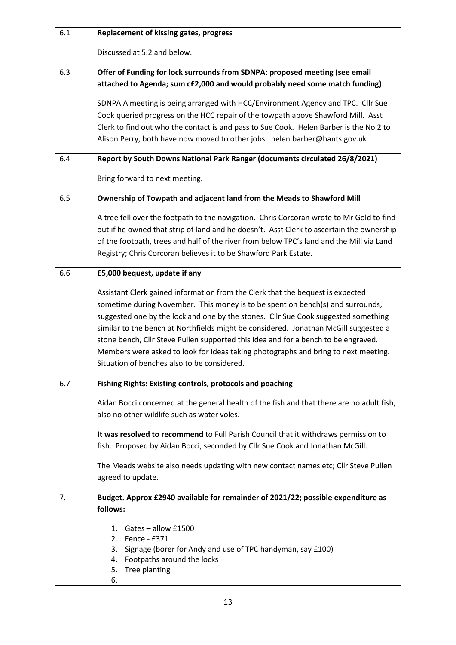| 6.1 | <b>Replacement of kissing gates, progress</b>                                                                                                                              |
|-----|----------------------------------------------------------------------------------------------------------------------------------------------------------------------------|
|     | Discussed at 5.2 and below.                                                                                                                                                |
| 6.3 | Offer of Funding for lock surrounds from SDNPA: proposed meeting (see email                                                                                                |
|     | attached to Agenda; sum c£2,000 and would probably need some match funding)                                                                                                |
|     | SDNPA A meeting is being arranged with HCC/Environment Agency and TPC. Cllr Sue                                                                                            |
|     | Cook queried progress on the HCC repair of the towpath above Shawford Mill. Asst                                                                                           |
|     | Clerk to find out who the contact is and pass to Sue Cook. Helen Barber is the No 2 to                                                                                     |
|     | Alison Perry, both have now moved to other jobs. helen.barber@hants.gov.uk                                                                                                 |
| 6.4 | Report by South Downs National Park Ranger (documents circulated 26/8/2021)                                                                                                |
|     | Bring forward to next meeting.                                                                                                                                             |
| 6.5 | Ownership of Towpath and adjacent land from the Meads to Shawford Mill                                                                                                     |
|     | A tree fell over the footpath to the navigation. Chris Corcoran wrote to Mr Gold to find                                                                                   |
|     | out if he owned that strip of land and he doesn't. Asst Clerk to ascertain the ownership                                                                                   |
|     | of the footpath, trees and half of the river from below TPC's land and the Mill via Land                                                                                   |
|     | Registry; Chris Corcoran believes it to be Shawford Park Estate.                                                                                                           |
| 6.6 | £5,000 bequest, update if any                                                                                                                                              |
|     | Assistant Clerk gained information from the Clerk that the bequest is expected                                                                                             |
|     | sometime during November. This money is to be spent on bench(s) and surrounds,                                                                                             |
|     | suggested one by the lock and one by the stones. Cllr Sue Cook suggested something                                                                                         |
|     | similar to the bench at Northfields might be considered. Jonathan McGill suggested a<br>stone bench, Cllr Steve Pullen supported this idea and for a bench to be engraved. |
|     | Members were asked to look for ideas taking photographs and bring to next meeting.                                                                                         |
|     | Situation of benches also to be considered.                                                                                                                                |
| 6.7 | Fishing Rights: Existing controls, protocols and poaching                                                                                                                  |
|     |                                                                                                                                                                            |
|     | Aidan Bocci concerned at the general health of the fish and that there are no adult fish,<br>also no other wildlife such as water voles.                                   |
|     |                                                                                                                                                                            |
|     | It was resolved to recommend to Full Parish Council that it withdraws permission to<br>fish. Proposed by Aidan Bocci, seconded by Cllr Sue Cook and Jonathan McGill.       |
|     |                                                                                                                                                                            |
|     | The Meads website also needs updating with new contact names etc; Cllr Steve Pullen<br>agreed to update.                                                                   |
|     |                                                                                                                                                                            |
| 7.  | Budget. Approx £2940 available for remainder of 2021/22; possible expenditure as<br>follows:                                                                               |
|     |                                                                                                                                                                            |
|     | Gates - allow £1500<br>$1_{-}$                                                                                                                                             |
|     | 2. Fence - £371<br>3. Signage (borer for Andy and use of TPC handyman, say £100)                                                                                           |
|     | 4. Footpaths around the locks                                                                                                                                              |
|     | Tree planting<br>5.                                                                                                                                                        |
|     | 6.                                                                                                                                                                         |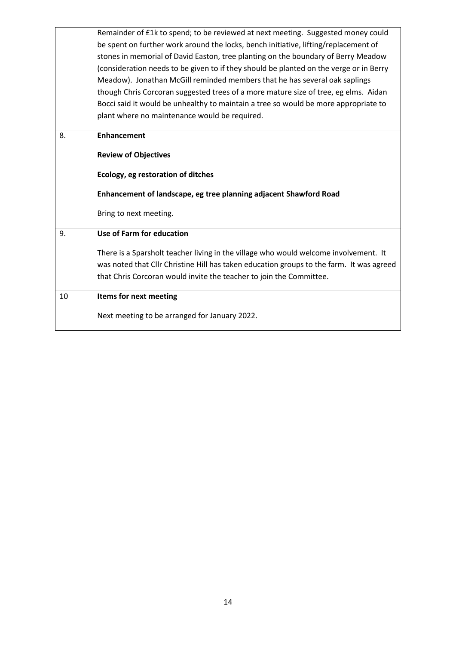|    | Remainder of £1k to spend; to be reviewed at next meeting. Suggested money could<br>be spent on further work around the locks, bench initiative, lifting/replacement of<br>stones in memorial of David Easton, tree planting on the boundary of Berry Meadow<br>(consideration needs to be given to if they should be planted on the verge or in Berry<br>Meadow). Jonathan McGill reminded members that he has several oak saplings<br>though Chris Corcoran suggested trees of a more mature size of tree, eg elms. Aidan<br>Bocci said it would be unhealthy to maintain a tree so would be more appropriate to |
|----|--------------------------------------------------------------------------------------------------------------------------------------------------------------------------------------------------------------------------------------------------------------------------------------------------------------------------------------------------------------------------------------------------------------------------------------------------------------------------------------------------------------------------------------------------------------------------------------------------------------------|
|    | plant where no maintenance would be required.                                                                                                                                                                                                                                                                                                                                                                                                                                                                                                                                                                      |
| 8. | <b>Enhancement</b><br><b>Review of Objectives</b><br>Ecology, eg restoration of ditches                                                                                                                                                                                                                                                                                                                                                                                                                                                                                                                            |
|    | Enhancement of landscape, eg tree planning adjacent Shawford Road                                                                                                                                                                                                                                                                                                                                                                                                                                                                                                                                                  |
|    | Bring to next meeting.                                                                                                                                                                                                                                                                                                                                                                                                                                                                                                                                                                                             |
| 9. | Use of Farm for education<br>There is a Sparsholt teacher living in the village who would welcome involvement. It<br>was noted that Cllr Christine Hill has taken education groups to the farm. It was agreed<br>that Chris Corcoran would invite the teacher to join the Committee.                                                                                                                                                                                                                                                                                                                               |
| 10 | Items for next meeting<br>Next meeting to be arranged for January 2022.                                                                                                                                                                                                                                                                                                                                                                                                                                                                                                                                            |